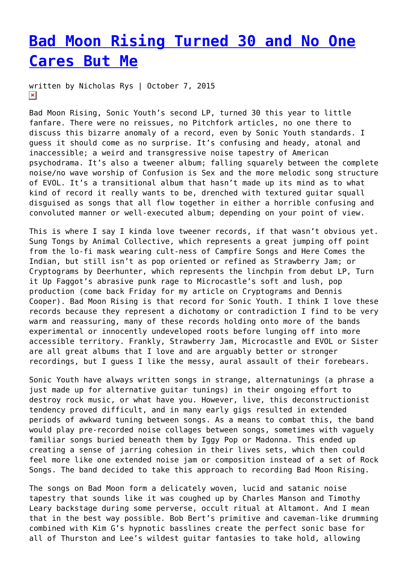## **[Bad Moon Rising Turned 30 and No One](https://entropymag.org/bad-moon-rising-turned-30-and-no-one-cares-but-me/) [Cares But Me](https://entropymag.org/bad-moon-rising-turned-30-and-no-one-cares-but-me/)**

written by Nicholas Rys | October 7, 2015  $\pmb{\times}$ 

Bad Moon Rising, Sonic Youth's second LP, turned 30 this year to little fanfare. There were no reissues, no Pitchfork articles, no one there to discuss this bizarre anomaly of a record, even by Sonic Youth standards. I guess it should come as no surprise. It's confusing and heady, atonal and inaccessible; a weird and transgressive noise tapestry of American psychodrama. It's also a tweener album; falling squarely between the complete noise/no wave worship of Confusion is Sex and the more melodic song structure of EVOL. It's a transitional album that hasn't made up its mind as to what kind of record it really wants to be, drenched with textured guitar squall disguised as songs that all flow together in either a horrible confusing and convoluted manner or well-executed album; depending on your point of view.

This is where I say I kinda love tweener records, if that wasn't obvious yet. Sung Tongs by Animal Collective, which represents a great jumping off point from the lo-fi mask wearing cult-ness of Campfire Songs and Here Comes the Indian, but still isn't as pop oriented or refined as Strawberry Jam; or Cryptograms by Deerhunter, which represents the linchpin from debut LP, Turn it Up Faggot's abrasive punk rage to Microcastle's soft and lush, pop production (come back Friday for my article on Cryptograms and Dennis Cooper). Bad Moon Rising is that record for Sonic Youth. I think I love these records because they represent a dichotomy or contradiction I find to be very warm and reassuring, many of these records holding onto more of the bands experimental or innocently undeveloped roots before lunging off into more accessible territory. Frankly, Strawberry Jam, Microcastle and EVOL or Sister are all great albums that I love and are arguably better or stronger recordings, but I guess I like the messy, aural assault of their forebears.

Sonic Youth have always written songs in strange, alternatunings (a phrase a just made up for alternative guitar tunings) in their ongoing effort to destroy rock music, or what have you. However, live, this deconstructionist tendency proved difficult, and in many early gigs resulted in extended periods of awkward tuning between songs. As a means to combat this, the band would play pre-recorded noise collages between songs, sometimes with vaguely familiar songs buried beneath them by Iggy Pop or Madonna. This ended up creating a sense of jarring cohesion in their lives sets, which then could feel more like one extended noise jam or composition instead of a set of Rock Songs. The band decided to take this approach to recording Bad Moon Rising.

The songs on Bad Moon form a delicately woven, lucid and satanic noise tapestry that sounds like it was coughed up by Charles Manson and Timothy Leary backstage during some perverse, occult ritual at Altamont. And I mean that in the best way possible. Bob Bert's primitive and caveman-like drumming combined with Kim G's hypnotic basslines create the perfect sonic base for all of Thurston and Lee's wildest guitar fantasies to take hold, allowing